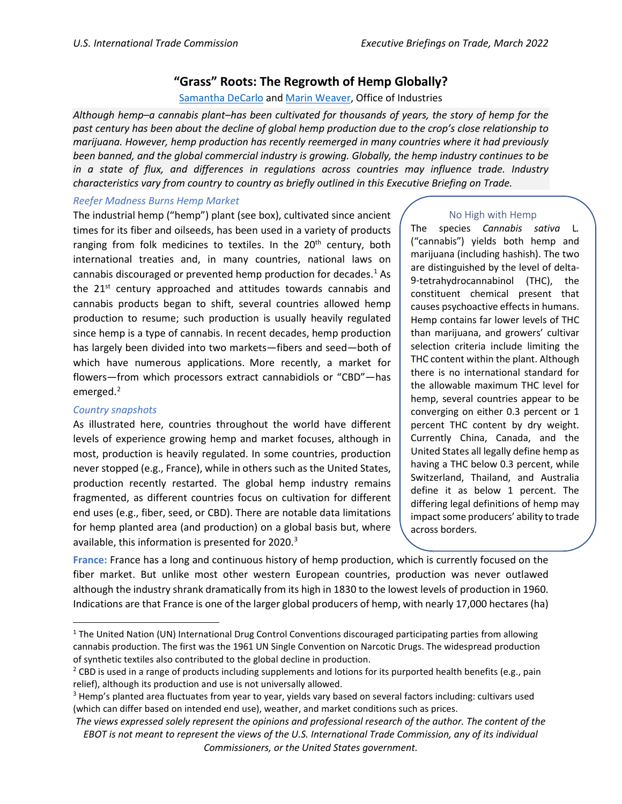## **"Grass" Roots: The Regrowth of Hemp Globally?**

[Samantha](mailto:samatha.decarlo@usitc.gov) DeCarlo and [Marin Weaver,](mailto:marin.weaver@usitc.gov) Office of Industries

*Although hemp–a cannabis plant–has been cultivated for thousands of years, the story of hemp for the past century has been about the decline of global hemp production due to the crop's close relationship to marijuana. However, hemp production has recently reemerged in many countries where it had previously been banned, and the global commercial industry is growing. Globally, the hemp industry continues to be in a state of flux, and differences in regulations across countries may influence trade. Industry characteristics vary from country to country as briefly outlined in this Executive Briefing on Trade.*

## *Reefer Madness Burns Hemp Market*

The industrial hemp ("hemp") plant (see box), cultivated since ancient times for its fiber and oilseeds, has been used in a variety of products ranging from folk medicines to textiles. In the 20<sup>th</sup> century, both international treaties and, in many countries, national laws on cannabis discouraged or prevented hemp production for decades. $<sup>1</sup>$  $<sup>1</sup>$  $<sup>1</sup>$  As</sup> the 21<sup>st</sup> century approached and attitudes towards cannabis and cannabis products began to shift, several countries allowed hemp production to resume; such production is usually heavily regulated since hemp is a type of cannabis. In recent decades, hemp production has largely been divided into two markets—fibers and seed—both of which have numerous applications. More recently, a market for flowers—from which processors extract cannabidiols or "CBD"—has emerged.<sup>[2](#page-0-1)</sup>

## *Country snapshots*

As illustrated here, countries throughout the world have different levels of experience growing hemp and market focuses, although in most, production is heavily regulated. In some countries, production never stopped (e.g., France), while in others such as the United States, production recently restarted. The global hemp industry remains fragmented, as different countries focus on cultivation for different end uses (e.g., fiber, seed, or CBD). There are notable data limitations for hemp planted area (and production) on a global basis but, where available, this information is presented for 2020.<sup>[3](#page-0-2)</sup>

## No High with Hemp

The species *Cannabis sativa* L*.*  ("cannabis") yields both hemp and marijuana (including hashish). The two are distinguished by the level of delta-9-tetrahydrocannabinol (THC), the constituent chemical present that causes psychoactive effects in humans. Hemp contains far lower levels of THC than marijuana, and growers' cultivar selection criteria include limiting the THC content within the plant. Although there is no international standard for the allowable maximum THC level for hemp, several countries appear to be converging on either 0.3 percent or 1 percent THC content by dry weight. Currently China, Canada, and the United States all legally define hemp as having a THC below 0.3 percent, while Switzerland, Thailand, and Australia define it as below 1 percent. The differing legal definitions of hemp may impact some producers' ability to trade across borders.

**France:** France has a long and continuous history of hemp production, which is currently focused on the fiber market. But unlike most other western European countries, production was never outlawed although the industry shrank dramatically from its high in 1830 to the lowest levels of production in 1960. Indications are that France is one of the larger global producers of hemp, with nearly 17,000 hectares (ha)

<sup>&</sup>lt;sup>1</sup> The United Nation (UN) International Drug Control Conventions discouraged participating parties from allowing cannabis production. The first was the 1961 UN Single Convention on Narcotic Drugs. The widespread production of synthetic textiles also contributed to the global decline in production.

<span id="page-0-1"></span><sup>&</sup>lt;sup>2</sup> CBD is used in a range of products including supplements and lotions for its purported health benefits (e.g., pain relief), although its production and use is not universally allowed.

<span id="page-0-2"></span><sup>&</sup>lt;sup>3</sup> Hemp's planted area fluctuates from year to year, yields vary based on several factors including: cultivars used (which can differ based on intended end use), weather, and market conditions such as prices.

<span id="page-0-0"></span>*The views expressed solely represent the opinions and professional research of the author. The content of the EBOT is not meant to represent the views of the U.S. International Trade Commission, any of its individual Commissioners, or the United States government.*